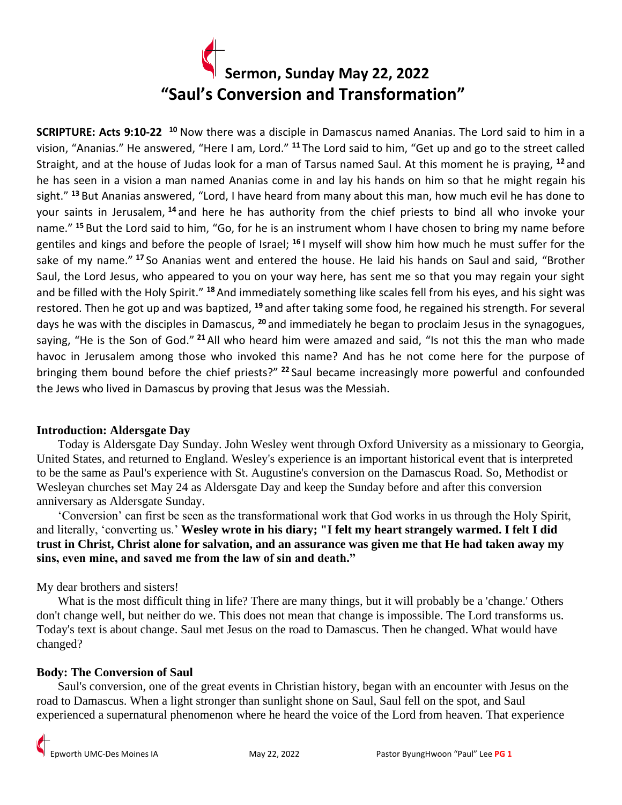

**SCRIPTURE: Acts 9:10-22 <sup>10</sup>** Now there was a disciple in Damascus named Ananias. The Lord said to him in a vision, "Ananias." He answered, "Here I am, Lord." **<sup>11</sup>** The Lord said to him, "Get up and go to the street called Straight, and at the house of Judas look for a man of Tarsus named Saul. At this moment he is praying, **<sup>12</sup>** and he has seen in a vision a man named Ananias come in and lay his hands on him so that he might regain his sight." **<sup>13</sup>** But Ananias answered, "Lord, I have heard from many about this man, how much evil he has done to your saints in Jerusalem, **<sup>14</sup>** and here he has authority from the chief priests to bind all who invoke your name." **<sup>15</sup>** But the Lord said to him, "Go, for he is an instrument whom I have chosen to bring my name before gentiles and kings and before the people of Israel; **<sup>16</sup>** I myself will show him how much he must suffer for the sake of my name." **<sup>17</sup>** So Ananias went and entered the house. He laid his hands on Saul and said, "Brother Saul, the Lord Jesus, who appeared to you on your way here, has sent me so that you may regain your sight and be filled with the Holy Spirit." **<sup>18</sup>** And immediately something like scales fell from his eyes, and his sight was restored. Then he got up and was baptized, **<sup>19</sup>** and after taking some food, he regained his strength. For several days he was with the disciples in Damascus, **<sup>20</sup>** and immediately he began to proclaim Jesus in the synagogues, saying, "He is the Son of God." **<sup>21</sup>** All who heard him were amazed and said, "Is not this the man who made havoc in Jerusalem among those who invoked this name? And has he not come here for the purpose of bringing them bound before the chief priests?" **<sup>22</sup>** Saul became increasingly more powerful and confounded the Jews who lived in Damascus by proving that Jesus was the Messiah.

### **Introduction: Aldersgate Day**

 Today is Aldersgate Day Sunday. John Wesley went through Oxford University as a missionary to Georgia, United States, and returned to England. Wesley's experience is an important historical event that is interpreted to be the same as Paul's experience with St. Augustine's conversion on the Damascus Road. So, Methodist or Wesleyan churches set May 24 as Aldersgate Day and keep the Sunday before and after this conversion anniversary as Aldersgate Sunday.

 'Conversion' can first be seen as the transformational work that God works in us through the Holy Spirit, and literally, 'converting us.' **Wesley wrote in his diary; "I felt my heart strangely warmed. I felt I did trust in Christ, Christ alone for salvation, and an assurance was given me that He had taken away my sins, even mine, and saved me from the law of sin and death."**

# My dear brothers and sisters!

 What is the most difficult thing in life? There are many things, but it will probably be a 'change.' Others don't change well, but neither do we. This does not mean that change is impossible. The Lord transforms us. Today's text is about change. Saul met Jesus on the road to Damascus. Then he changed. What would have changed?

### **Body: The Conversion of Saul**

 Saul's conversion, one of the great events in Christian history, began with an encounter with Jesus on the road to Damascus. When a light stronger than sunlight shone on Saul, Saul fell on the spot, and Saul experienced a supernatural phenomenon where he heard the voice of the Lord from heaven. That experience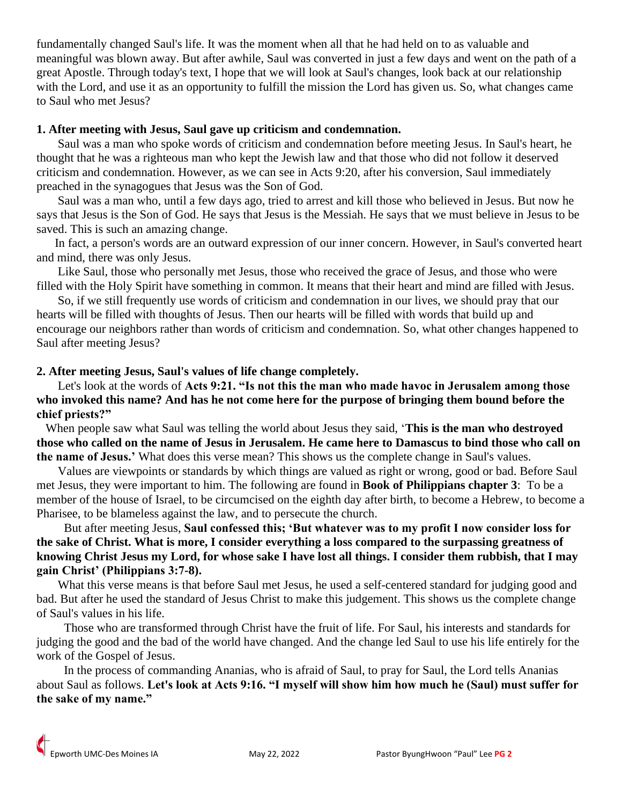fundamentally changed Saul's life. It was the moment when all that he had held on to as valuable and meaningful was blown away. But after awhile, Saul was converted in just a few days and went on the path of a great Apostle. Through today's text, I hope that we will look at Saul's changes, look back at our relationship with the Lord, and use it as an opportunity to fulfill the mission the Lord has given us. So, what changes came to Saul who met Jesus?

## **1. After meeting with Jesus, Saul gave up criticism and condemnation.**

 Saul was a man who spoke words of criticism and condemnation before meeting Jesus. In Saul's heart, he thought that he was a righteous man who kept the Jewish law and that those who did not follow it deserved criticism and condemnation. However, as we can see in Acts 9:20, after his conversion, Saul immediately preached in the synagogues that Jesus was the Son of God.

 Saul was a man who, until a few days ago, tried to arrest and kill those who believed in Jesus. But now he says that Jesus is the Son of God. He says that Jesus is the Messiah. He says that we must believe in Jesus to be saved. This is such an amazing change.

 In fact, a person's words are an outward expression of our inner concern. However, in Saul's converted heart and mind, there was only Jesus.

 Like Saul, those who personally met Jesus, those who received the grace of Jesus, and those who were filled with the Holy Spirit have something in common. It means that their heart and mind are filled with Jesus.

 So, if we still frequently use words of criticism and condemnation in our lives, we should pray that our hearts will be filled with thoughts of Jesus. Then our hearts will be filled with words that build up and encourage our neighbors rather than words of criticism and condemnation. So, what other changes happened to Saul after meeting Jesus?

# **2. After meeting Jesus, Saul's values of life change completely.**

 Let's look at the words of **Acts 9:21. "Is not this the man who made havoc in Jerusalem among those who invoked this name? And has he not come here for the purpose of bringing them bound before the chief priests?"**

When people saw what Saul was telling the world about Jesus they said, '**This is the man who destroyed those who called on the name of Jesus in Jerusalem. He came here to Damascus to bind those who call on the name of Jesus.'** What does this verse mean? This shows us the complete change in Saul's values.

 Values are viewpoints or standards by which things are valued as right or wrong, good or bad. Before Saul met Jesus, they were important to him. The following are found in **Book of Philippians chapter 3**: To be a member of the house of Israel, to be circumcised on the eighth day after birth, to become a Hebrew, to become a Pharisee, to be blameless against the law, and to persecute the church.

 But after meeting Jesus, **Saul confessed this; 'But whatever was to my profit I now consider loss for the sake of Christ. What is more, I consider everything a loss compared to the surpassing greatness of knowing Christ Jesus my Lord, for whose sake I have lost all things. I consider them rubbish, that I may gain Christ' (Philippians 3:7-8).**

 What this verse means is that before Saul met Jesus, he used a self-centered standard for judging good and bad. But after he used the standard of Jesus Christ to make this judgement. This shows us the complete change of Saul's values in his life.

 Those who are transformed through Christ have the fruit of life. For Saul, his interests and standards for judging the good and the bad of the world have changed. And the change led Saul to use his life entirely for the work of the Gospel of Jesus.

 In the process of commanding Ananias, who is afraid of Saul, to pray for Saul, the Lord tells Ananias about Saul as follows. **Let's look at Acts 9:16. "I myself will show him how much he (Saul) must suffer for the sake of my name."**